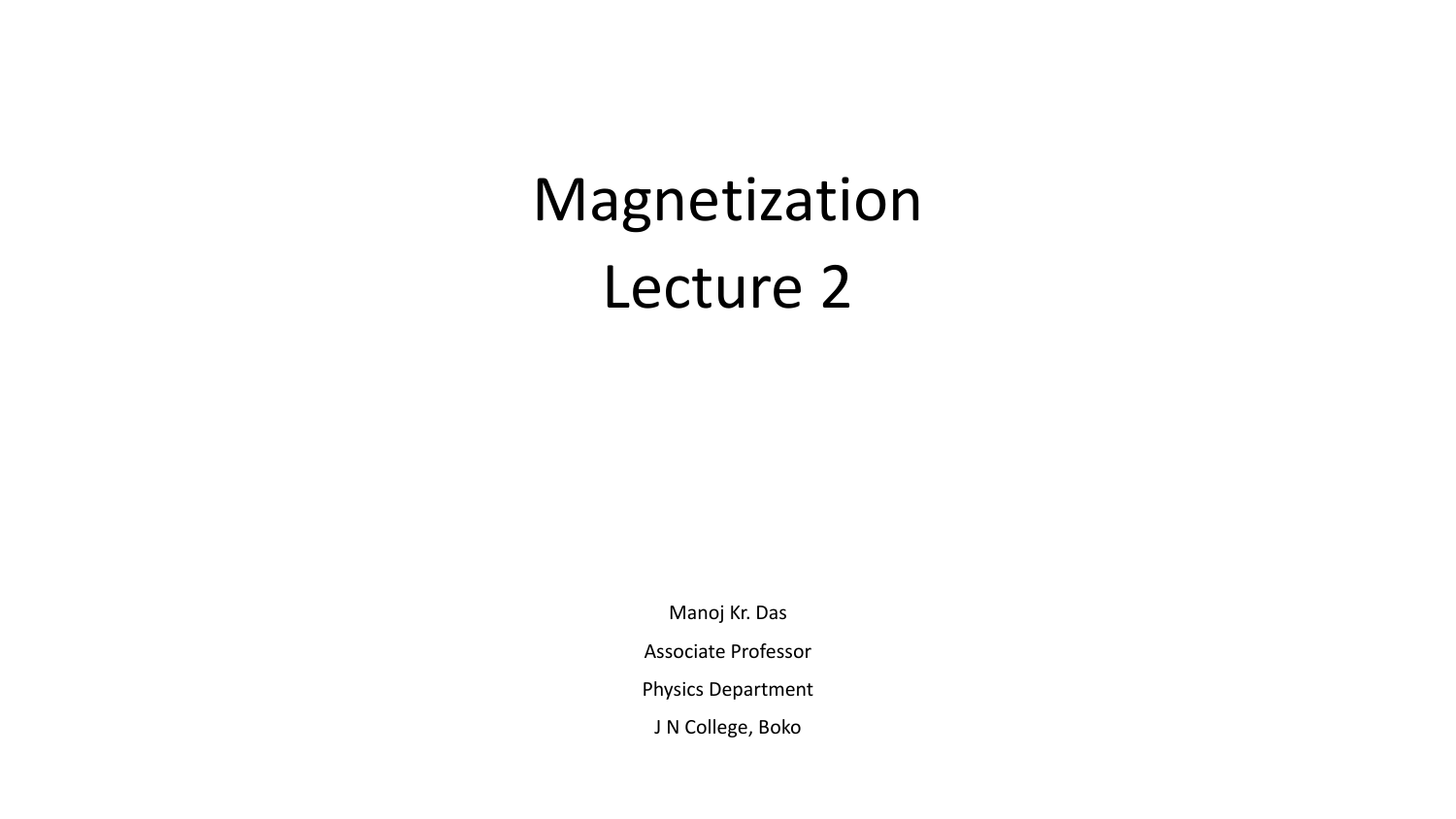# Magnetization Lecture 2

Manoj Kr. Das

Associate Professor

Physics Department

J N College, Boko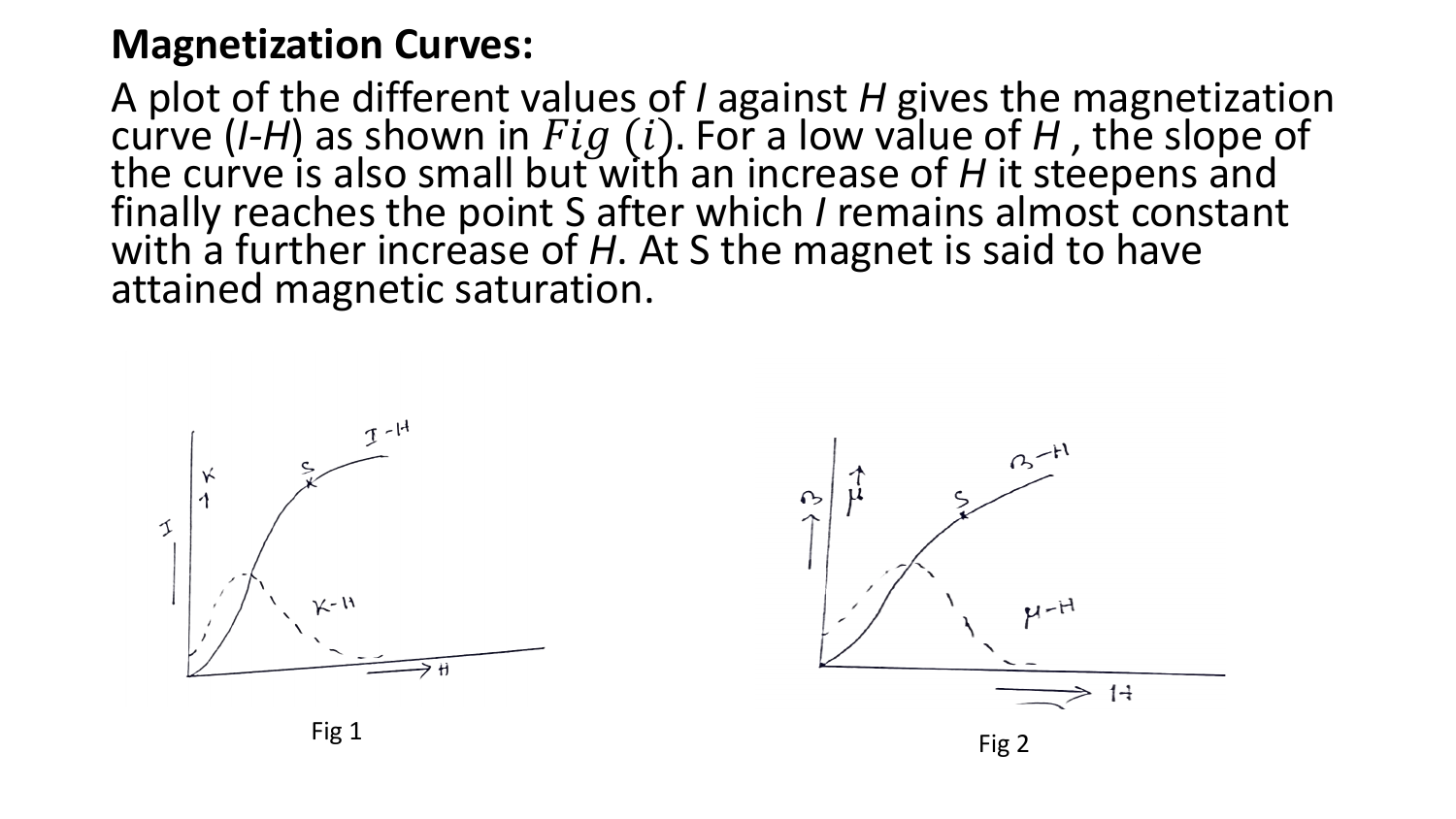#### **Magnetization Curves:**

A plot of the different values of *I* against *H* gives the magnetization curve  $(I-H)$  as shown in  $Fig (i)$ . For a low value of H, the slope of the curve is also small but with an increase of *H* it steepens and finally reaches the point S after which *I* remains almost constant with a further increase of *H*. At S the magnet is said to have attained magnetic saturation.



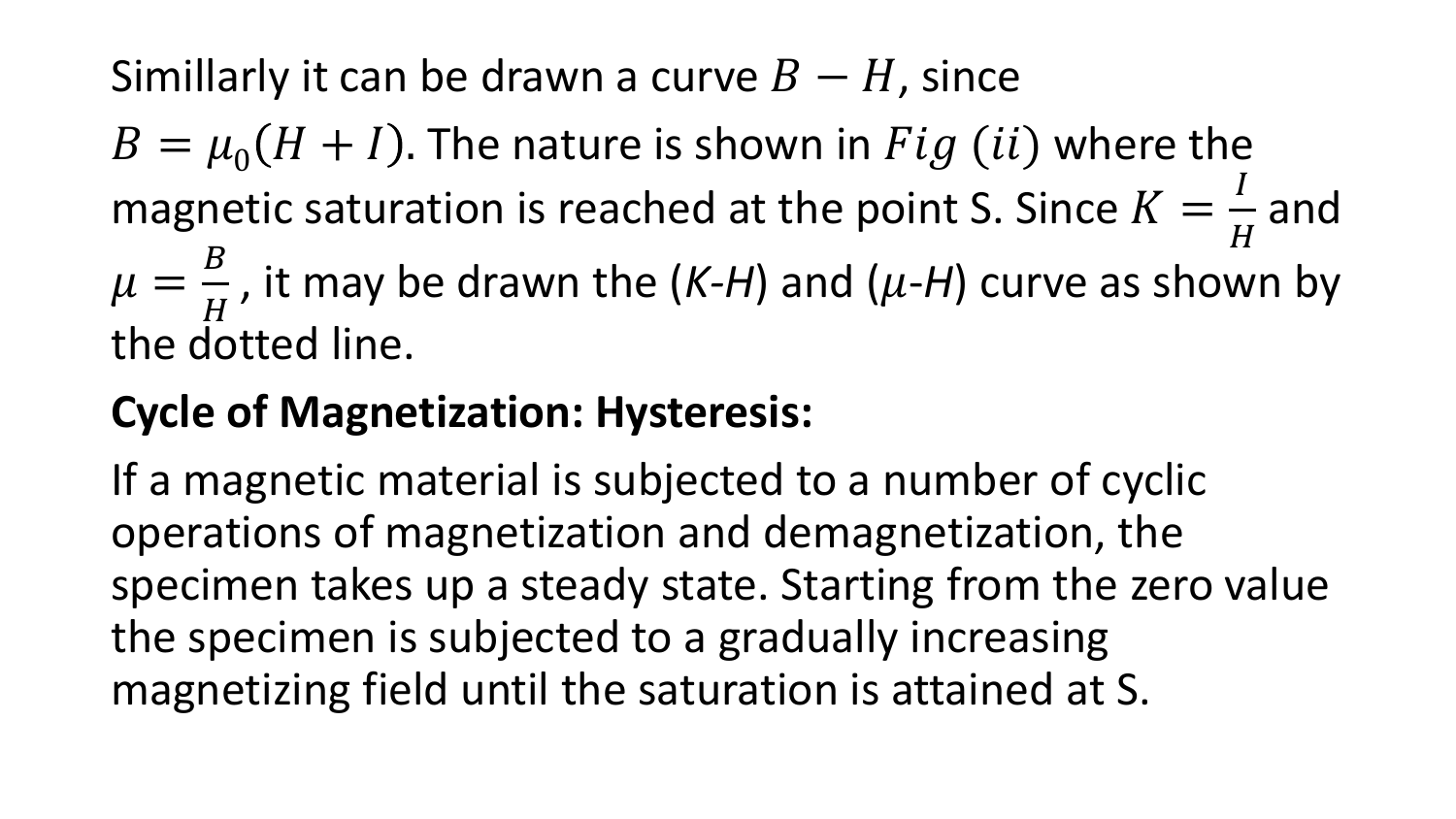## Simillarly it can be drawn a curve  $B - H$ , since

 $B = \mu_0 (H + I)$ . The nature is shown in  $Fig (ii)$  where the magnetic saturation is reached at the point S. Since  $K =$  $\boldsymbol{I}$  $\boldsymbol{H}$ and

 $\mu =$  $\boldsymbol{B}$  $\overline{H}$ , it may be drawn the  $(K-H)$  and  $(\mu-H)$  curve as shown by the dotted line.

## **Cycle of Magnetization: Hysteresis:**

If a magnetic material is subjected to a number of cyclic operations of magnetization and demagnetization, the specimen takes up a steady state. Starting from the zero value the specimen is subjected to a gradually increasing magnetizing field until the saturation is attained at S.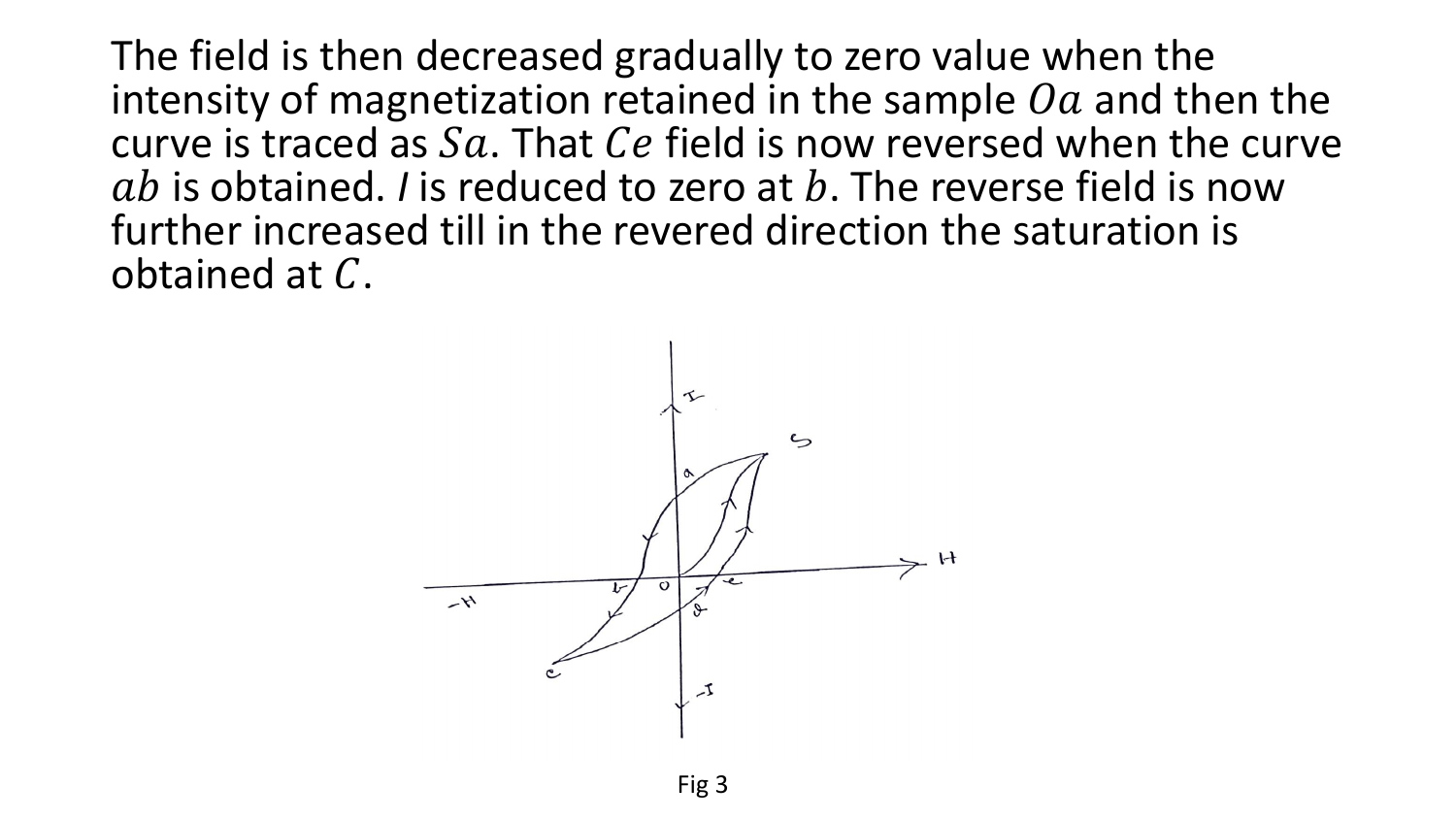The field is then decreased gradually to zero value when the intensity of magnetization retained in the sample  $0a$  and then the curve is traced as  $Sa$ . That  $Ce$  field is now reversed when the curve  $ab$  is obtained. *I* is reduced to zero at  $b$ . The reverse field is now further increased till in the revered direction the saturation is obtained at  $C$ .

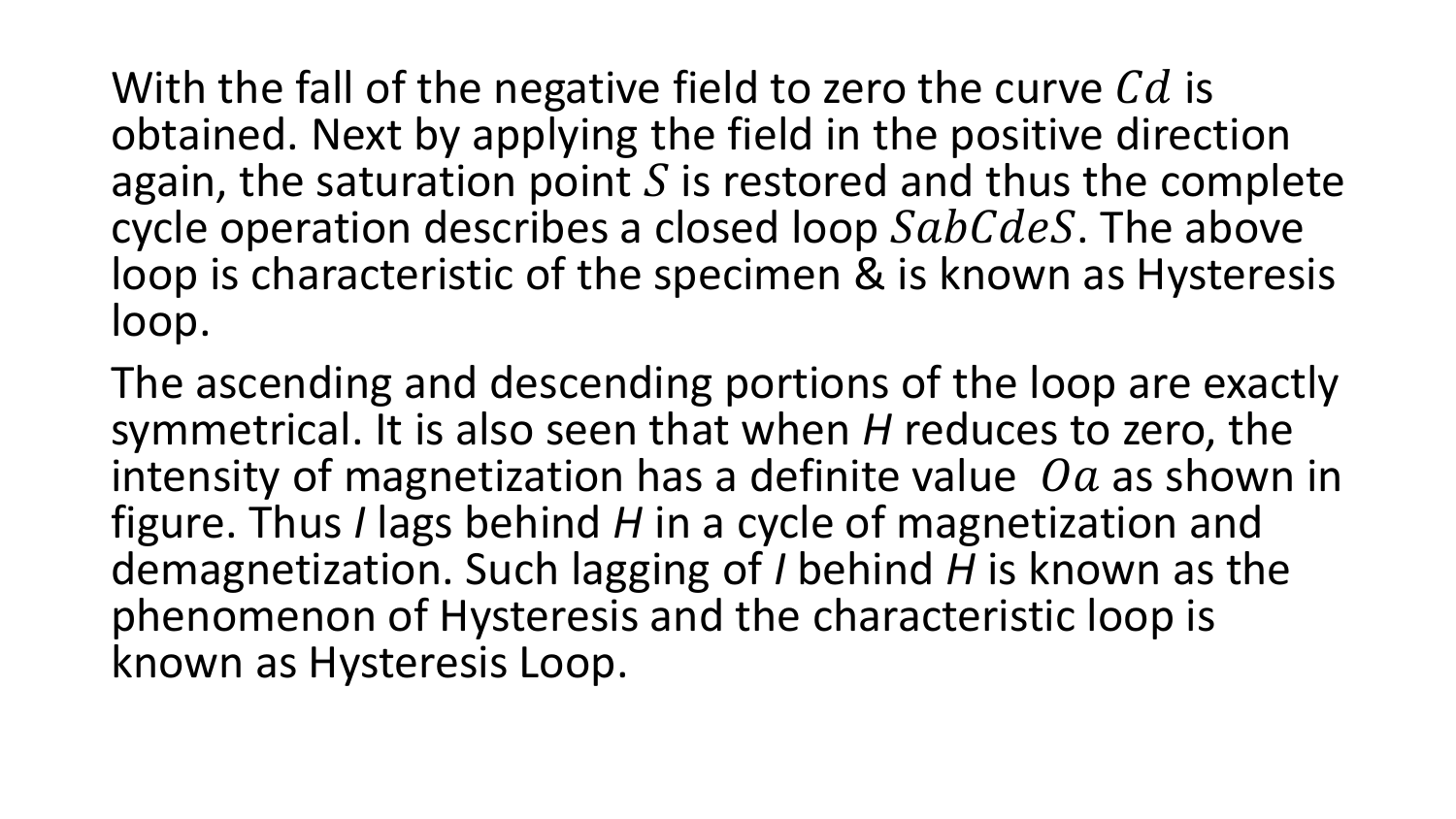With the fall of the negative field to zero the curve  $Cd$  is obtained. Next by applying the field in the positive direction again, the saturation point  $S$  is restored and thus the complete cycle operation describes a closed loop  $SabCdes$ . The above loop is characteristic of the specimen & is known as Hysteresis loop.

The ascending and descending portions of the loop are exactly symmetrical. It is also seen that when *H* reduces to zero, the intensity of magnetization has a definite value  $\Omega a$  as shown in figure. Thus *I* lags behind *H* in a cycle of magnetization and demagnetization. Such lagging of *I* behind *H* is known as the phenomenon of Hysteresis and the characteristic loop is known as Hysteresis Loop.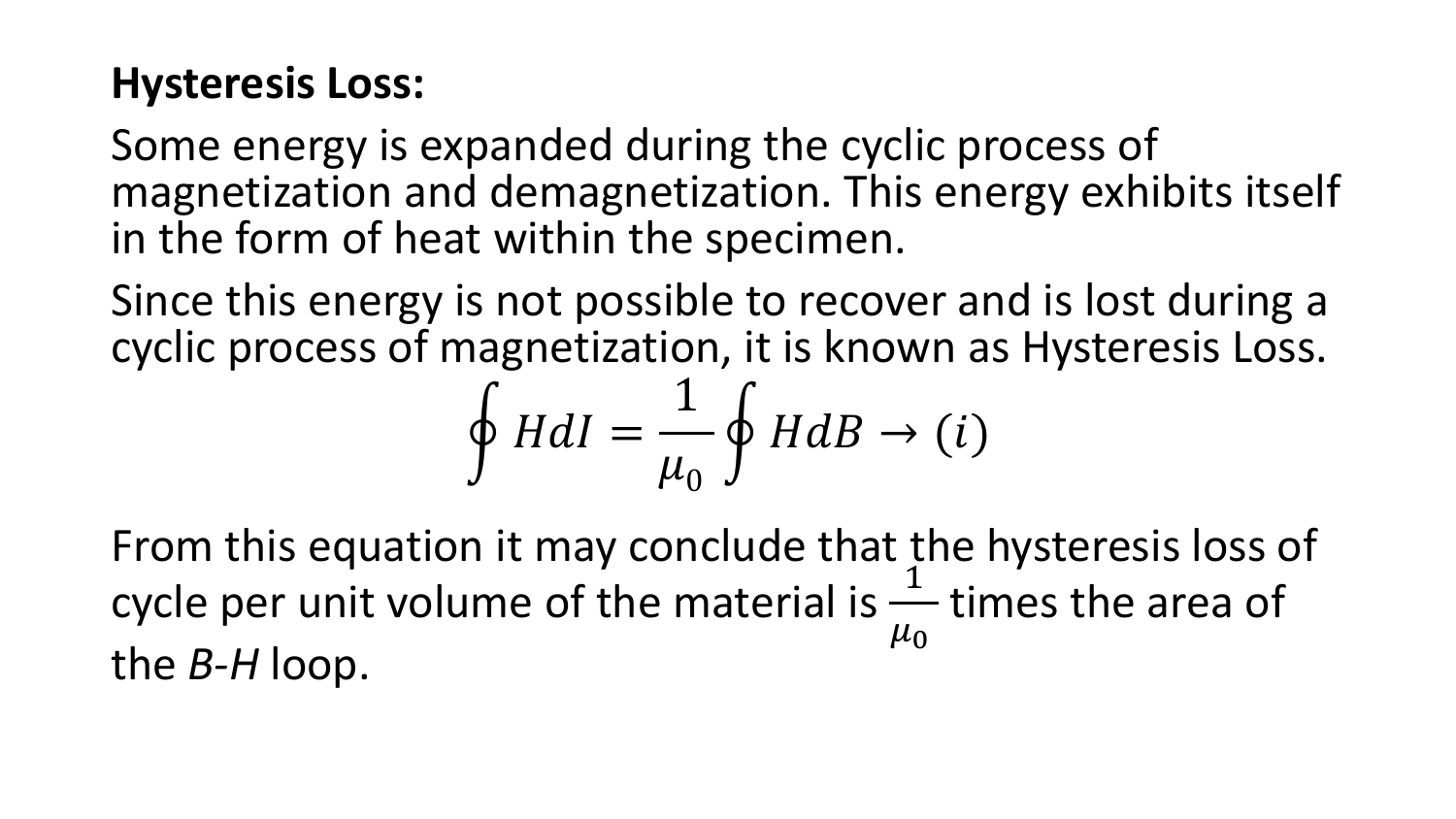#### **Hysteresis Loss:**

Some energy is expanded during the cyclic process of magnetization and demagnetization. This energy exhibits itself in the form of heat within the specimen.

Since this energy is not possible to recover and is lost during a cyclic process of magnetization, it is known as Hysteresis Loss.

$$
\oint HdI = \frac{1}{\mu_0} \oint HdB \to (i)
$$

From this equation it may conclude that the hysteresis loss of cycle per unit volume of the material is  $\frac{1}{\mu}$  times the area of  $\mu_{0}$ the *B-H* loop.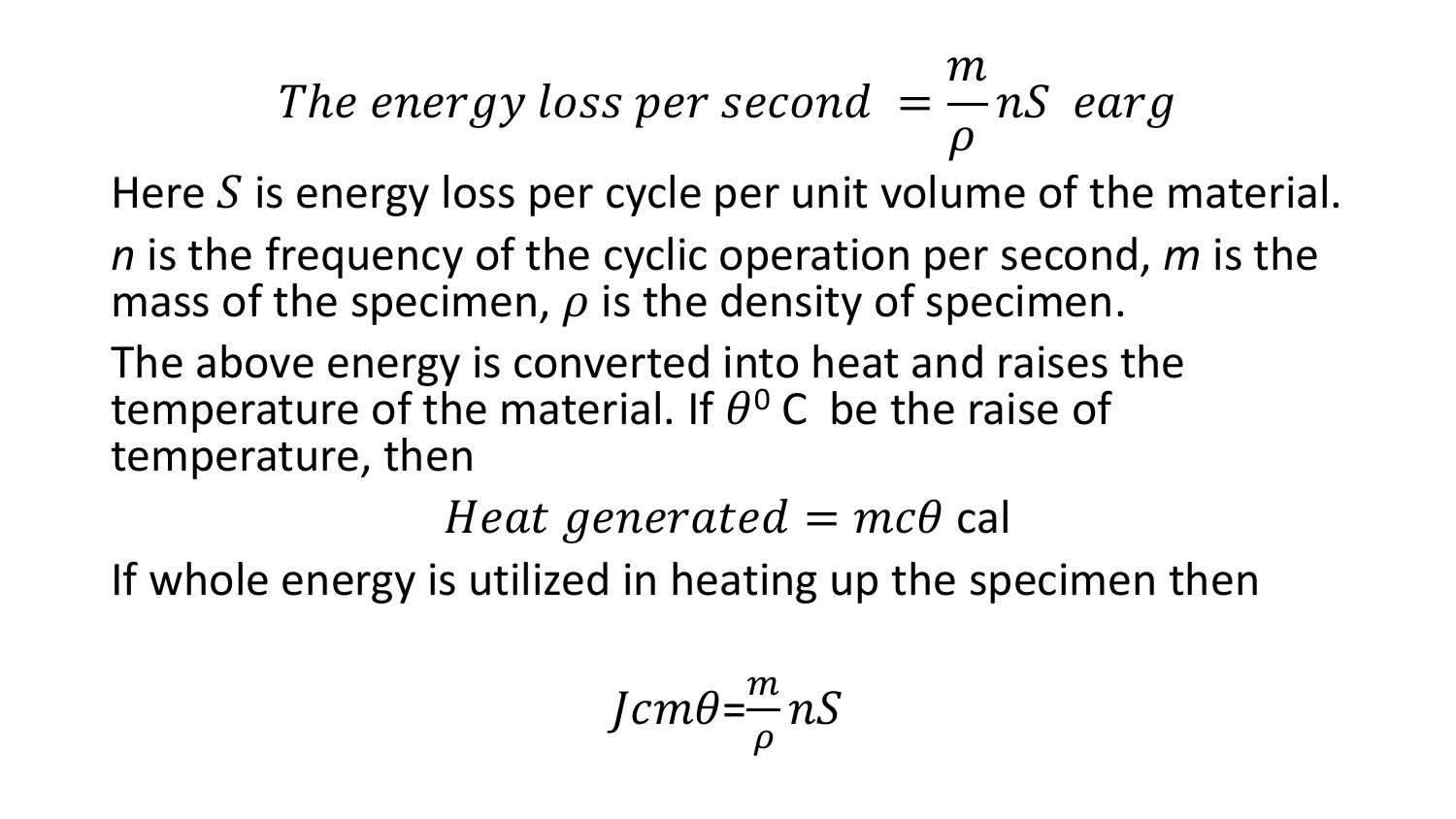#### The energy loss per second  $=$  $\overline{m}$  $\rho$ nS earg

Here  $S$  is energy loss per cycle per unit volume of the material.

*n* is the frequency of the cyclic operation per second, *m* is the mass of the specimen,  $\rho$  is the density of specimen.

The above energy is converted into heat and raises the temperature of the material. If  $\theta^0$  C be the raise of temperature, then

Heat generated  $= mc\theta$  cal

If whole energy is utilized in heating up the specimen then

$$
Jcm\theta = \frac{m}{\rho} nS
$$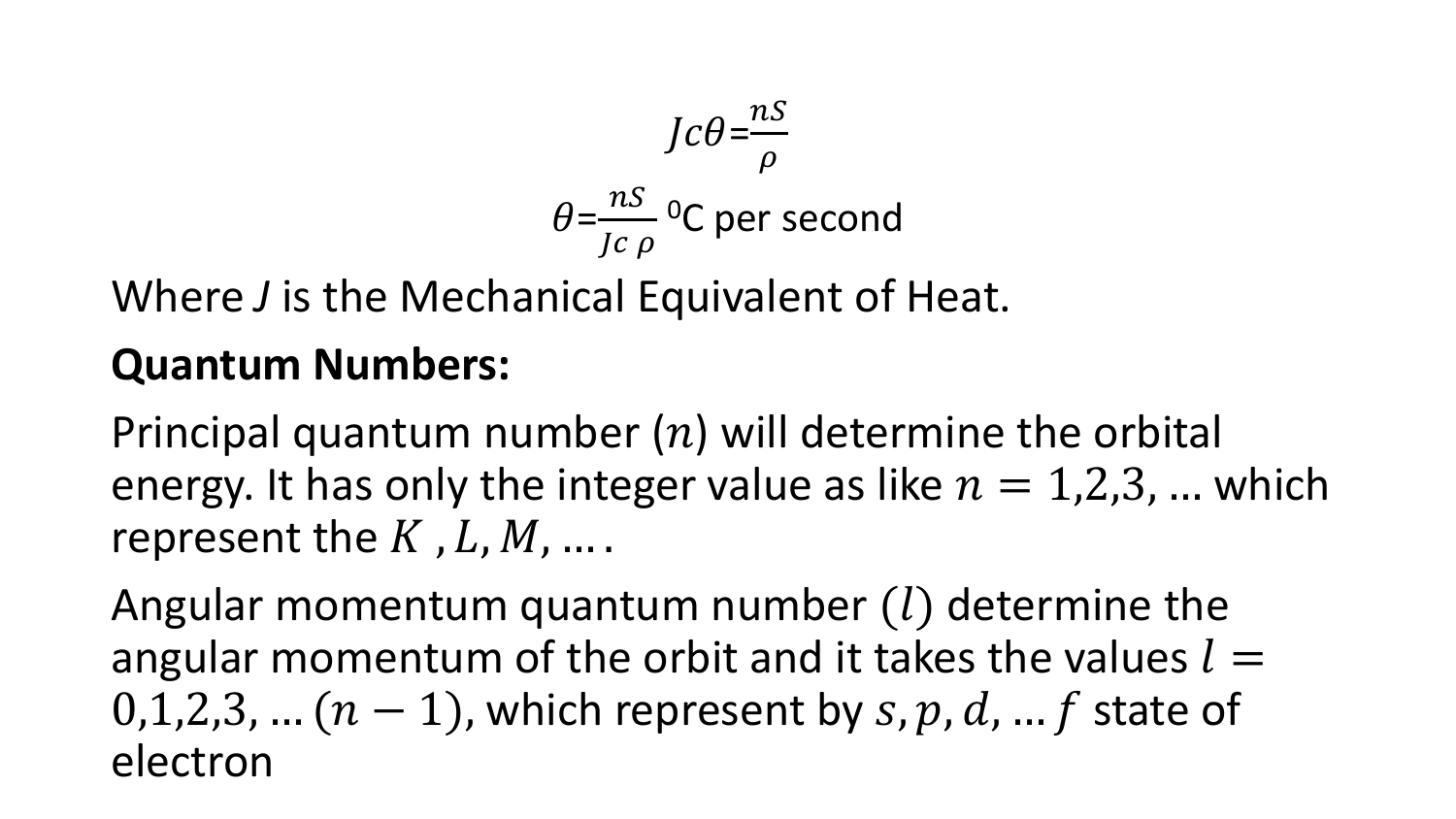$$
Jc\theta = \frac{ns}{\rho}
$$
  

$$
\theta = \frac{ns}{Jc\rho}
$$
°C per second

Where *J* is the Mechanical Equivalent of Heat.

#### **Quantum Numbers:**

Principal quantum number  $(n)$  will determine the orbital energy. It has only the integer value as like  $n = 1,2,3,...$  which represent the  $K$ ,  $L$ ,  $M$ , ....

Angular momentum quantum number  $(l)$  determine the angular momentum of the orbit and it takes the values  $l =$ 0,1,2,3, ...  $(n - 1)$ , which represent by s, p, d, ... f state of electron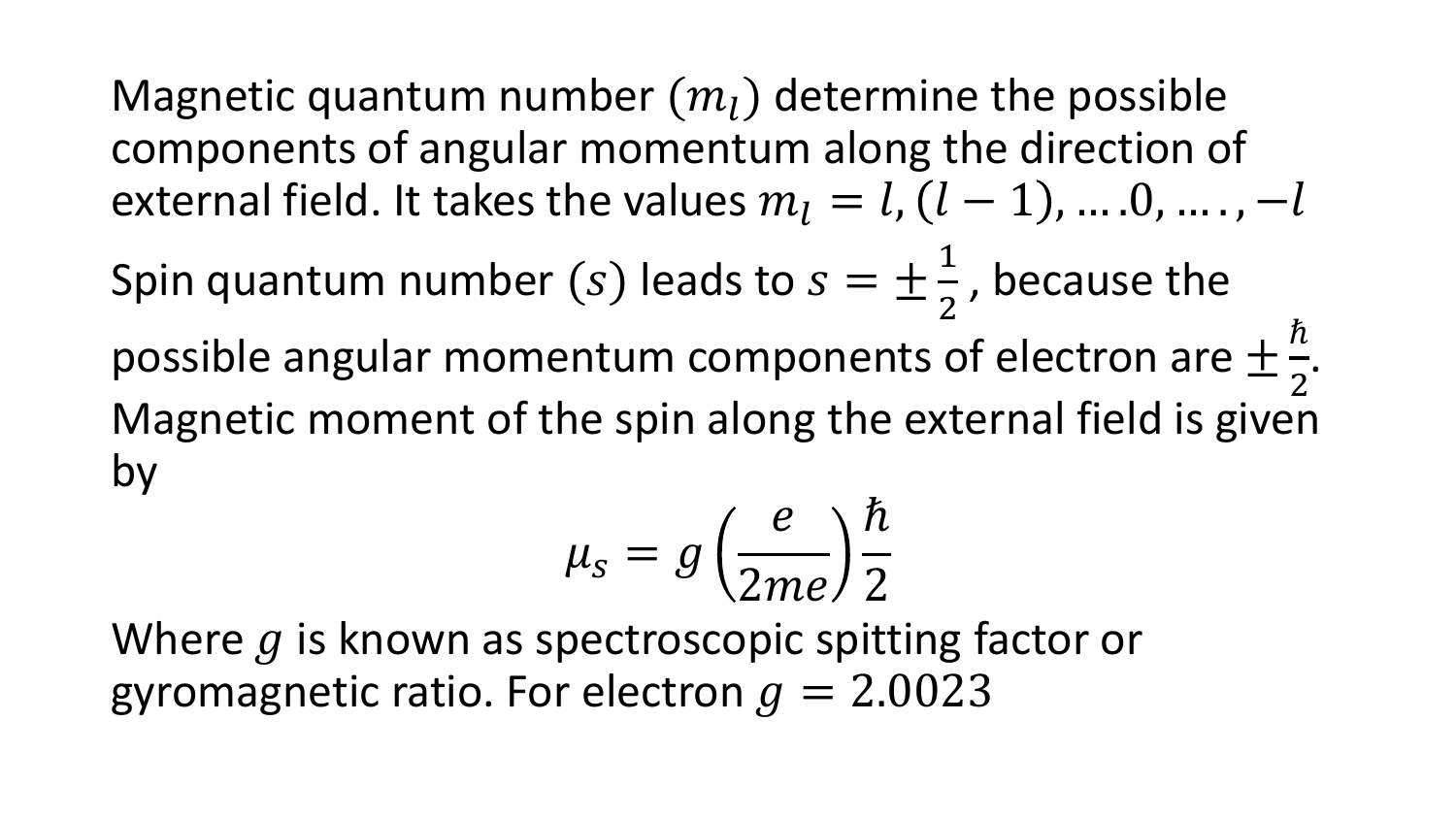Magnetic quantum number  $(m<sub>l</sub>)$  determine the possible components of angular momentum along the direction of external field. It takes the values  $m_l = l$ ,  $(l - 1)$ , ... .0, ... ., -l

Spin quantum number (s) leads to  $s = \pm$ 1 2 , because the possible angular momentum components of electron are  $\pm$  $\hbar$ 2 . Magnetic moment of the spin along the external field is given by

$$
\mu_s = g\left(\frac{e}{2me}\right)\frac{\hbar}{2}
$$

Where  $q$  is known as spectroscopic spitting factor or gyromagnetic ratio. For electron  $q = 2.0023$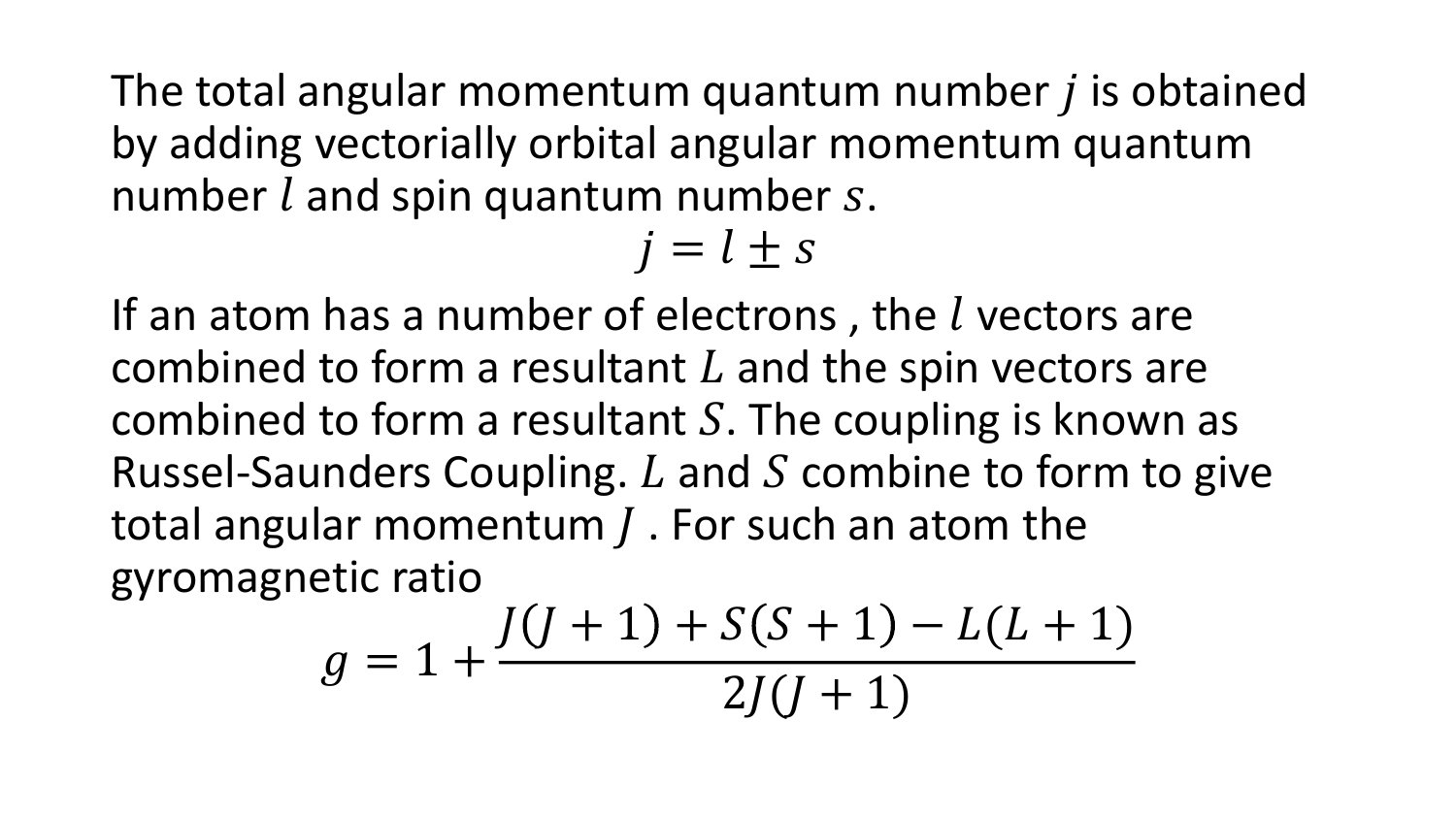The total angular momentum quantum number  *is obtained* by adding vectorially orbital angular momentum quantum number  $l$  and spin quantum number  $s$ .

 $i = l \pm s$ 

If an atom has a number of electrons, the  $l$  vectors are combined to form a resultant  $L$  and the spin vectors are combined to form a resultant  $S$ . The coupling is known as Russel-Saunders Coupling.  $L$  and  $S$  combine to form to give total angular momentum  *. For such an atom the* gyromagnetic ratio

$$
g = 1 + \frac{J(J+1) + S(S+1) - L(L+1)}{2J(J+1)}
$$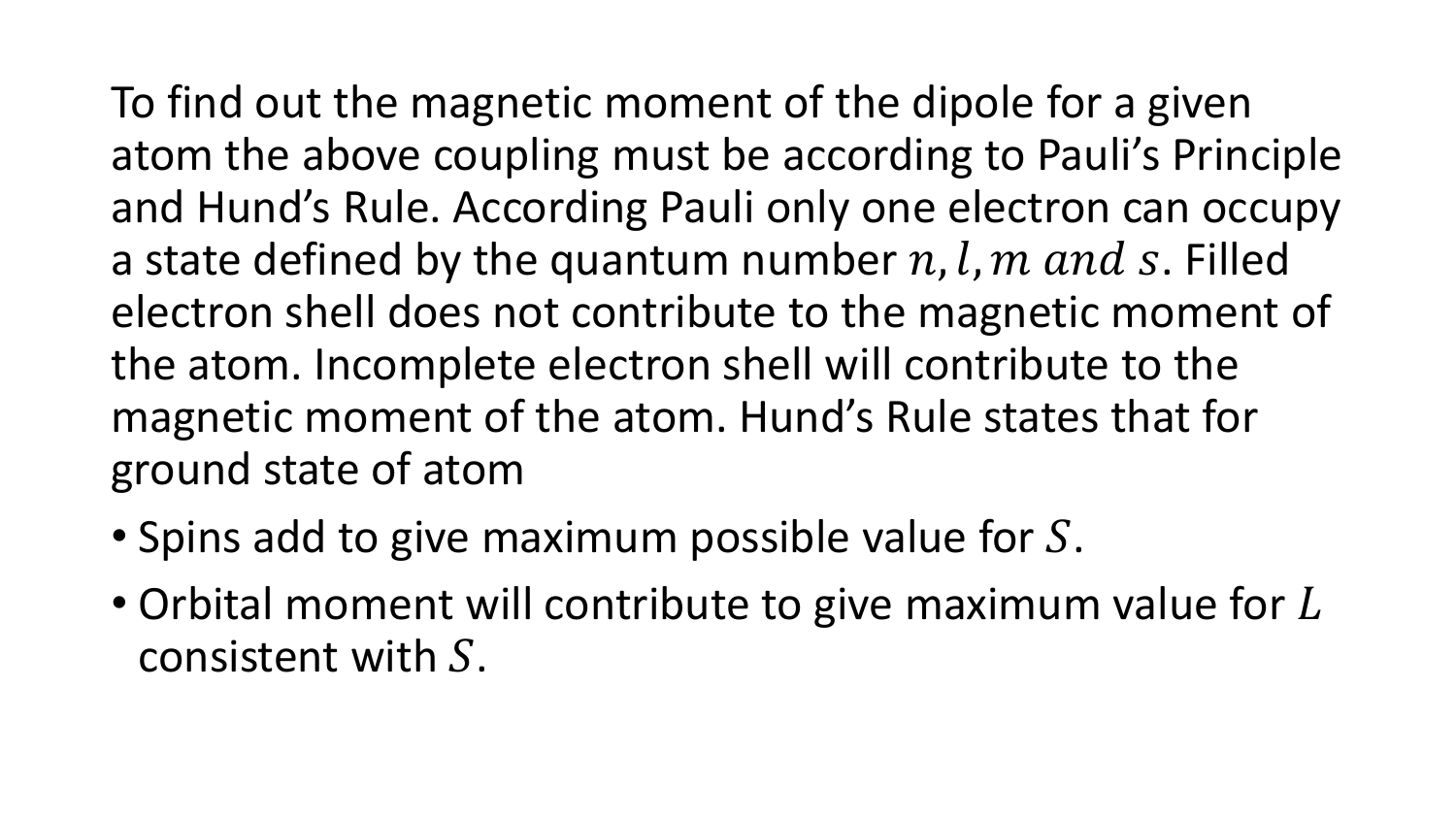To find out the magnetic moment of the dipole for a given atom the above coupling must be according to Pauli's Principle and Hund's Rule. According Pauli only one electron can occupy a state defined by the quantum number n, l, m and s. Filled electron shell does not contribute to the magnetic moment of the atom. Incomplete electron shell will contribute to the magnetic moment of the atom. Hund's Rule states that for ground state of atom

- Spins add to give maximum possible value for  $S$ .
- Orbital moment will contribute to give maximum value for  $L$ consistent with  $S$ .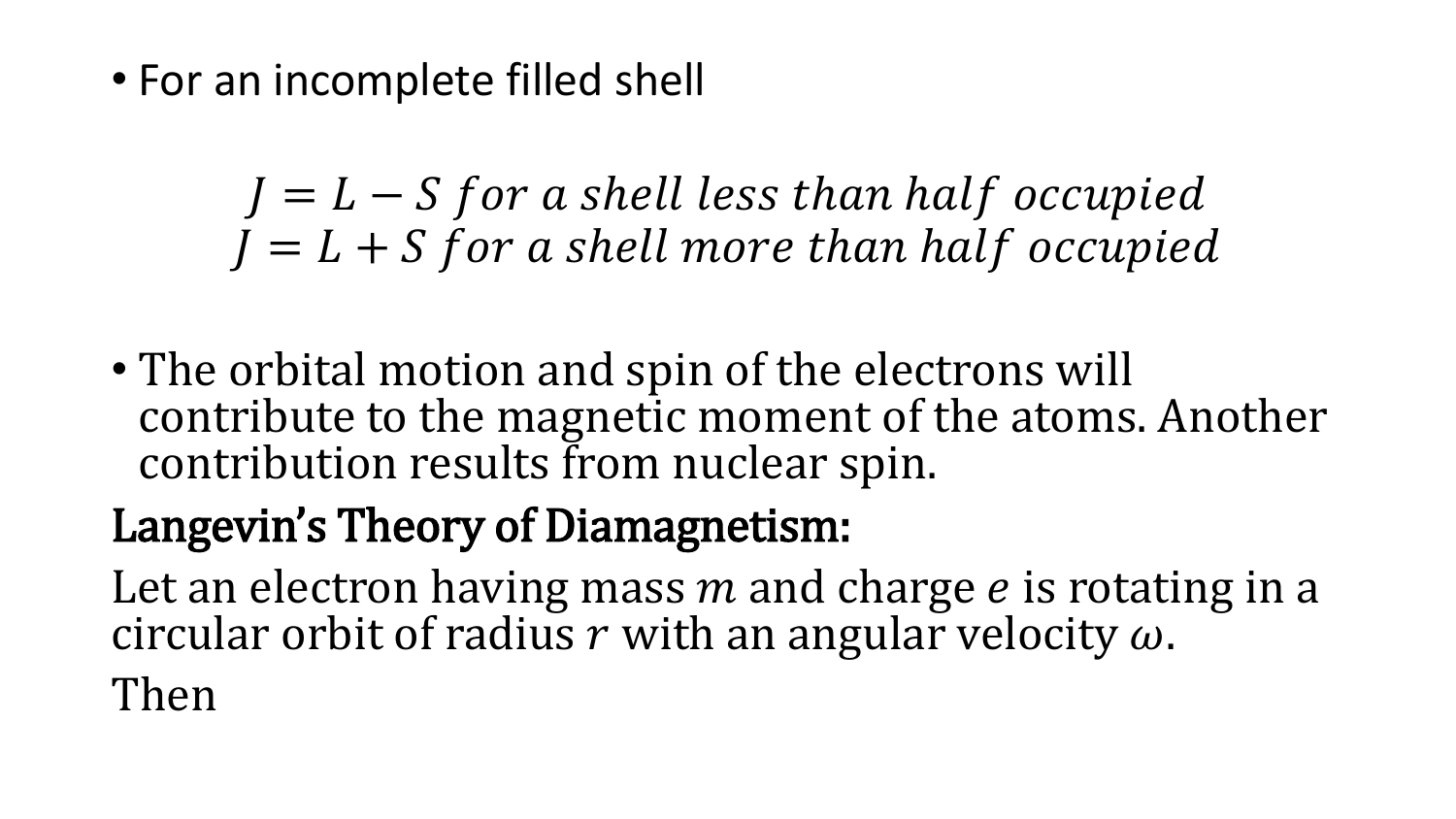• For an incomplete filled shell

 $I = L - S$  for a shell less than half occupied  $I = L + S$  for a shell more than half occupied

• The orbital motion and spin of the electrons will contribute to the magnetic moment of the atoms. Another contribution results from nuclear spin.

# Langevin's Theory of Diamagnetism:

Let an electron having mass  $m$  and charge  $e$  is rotating in a circular orbit of radius r with an angular velocity  $\omega$ .

Then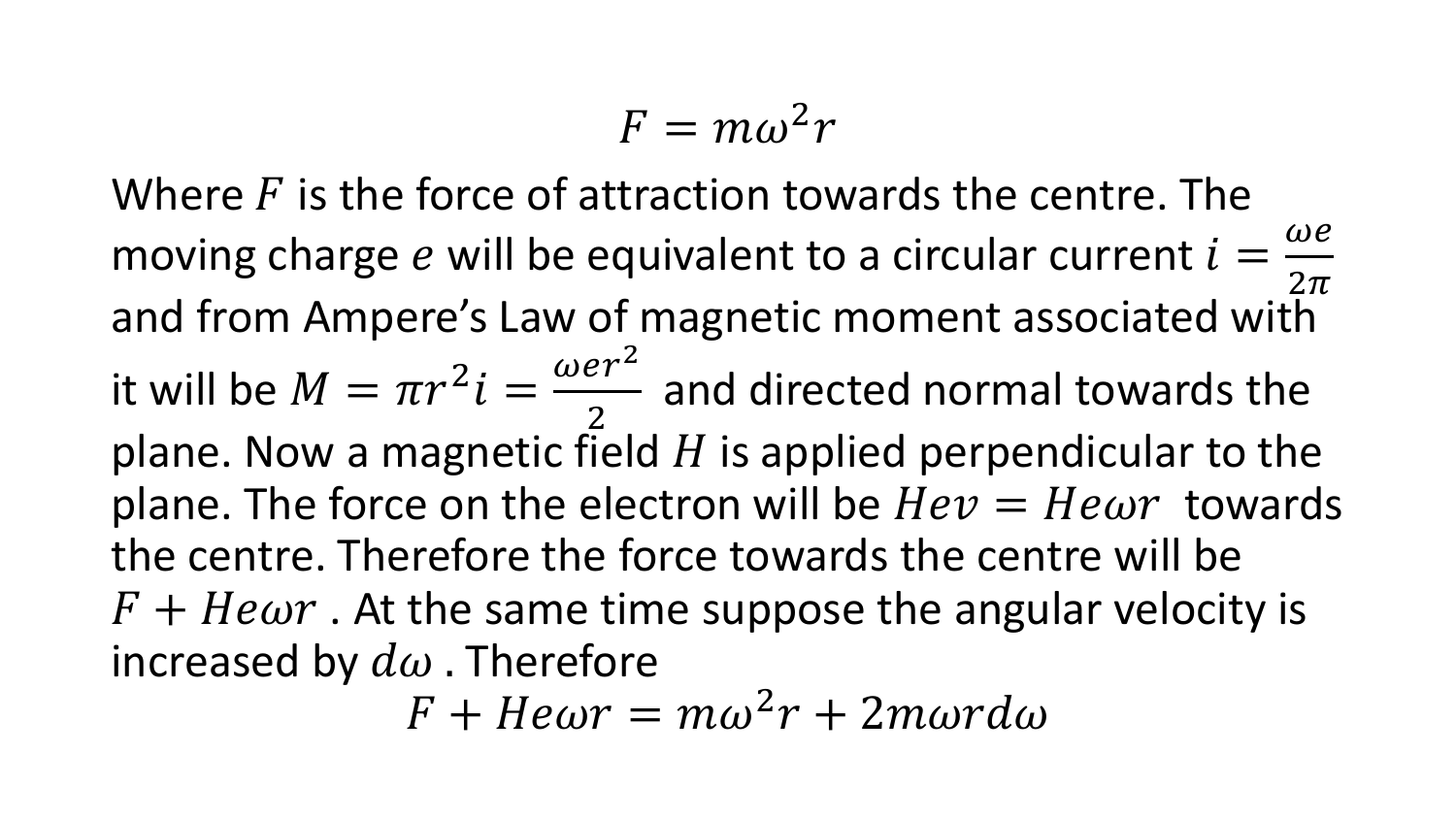$$
F=m\omega^2r
$$

Where  $F$  is the force of attraction towards the centre. The moving charge  $e$  will be equivalent to a circular current  $i =$  $\omega e$  $2\pi$ and from Ampere's Law of magnetic moment associated with it will be  $M = \pi r^2 i =$  $\omega$ er<sup>2</sup> 2 and directed normal towards the plane. Now a magnetic field  $H$  is applied perpendicular to the plane. The force on the electron will be  $Hev = He\omega r$  towards the centre. Therefore the force towards the centre will be  $F + He\omega r$ . At the same time suppose the angular velocity is increased by  $d\omega$ . Therefore

 $F + Hewr = m\omega^2r + 2m\omega rd\omega$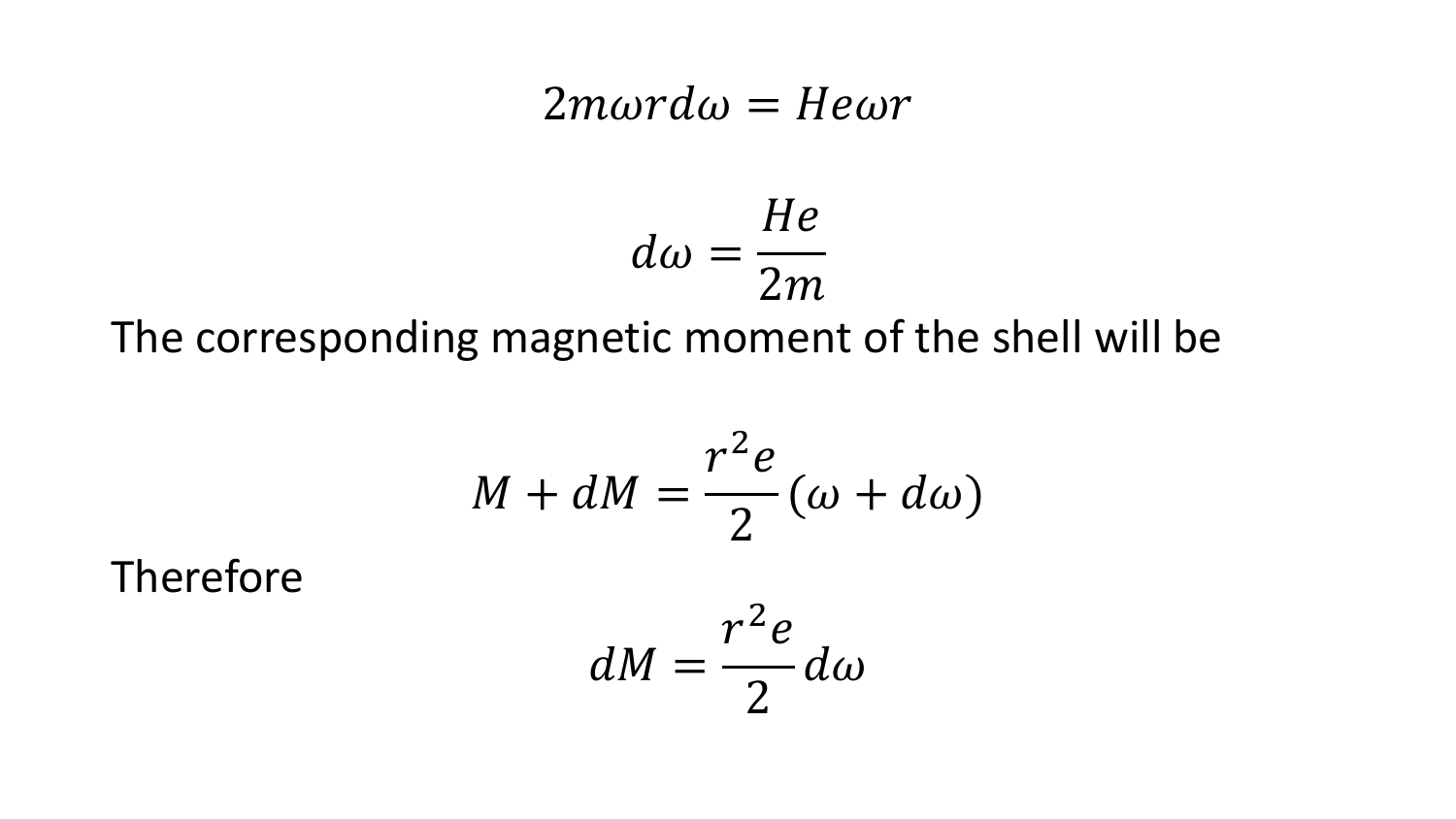#### $2m\omega r d\omega = He\omega r$

$$
d\omega = \frac{He}{2m}
$$

The corresponding magnetic moment of the shell will be

$$
M + dM = \frac{r^2 e}{2} (\omega + d\omega)
$$

Therefore

$$
dM=\frac{r^2e}{2}d\omega
$$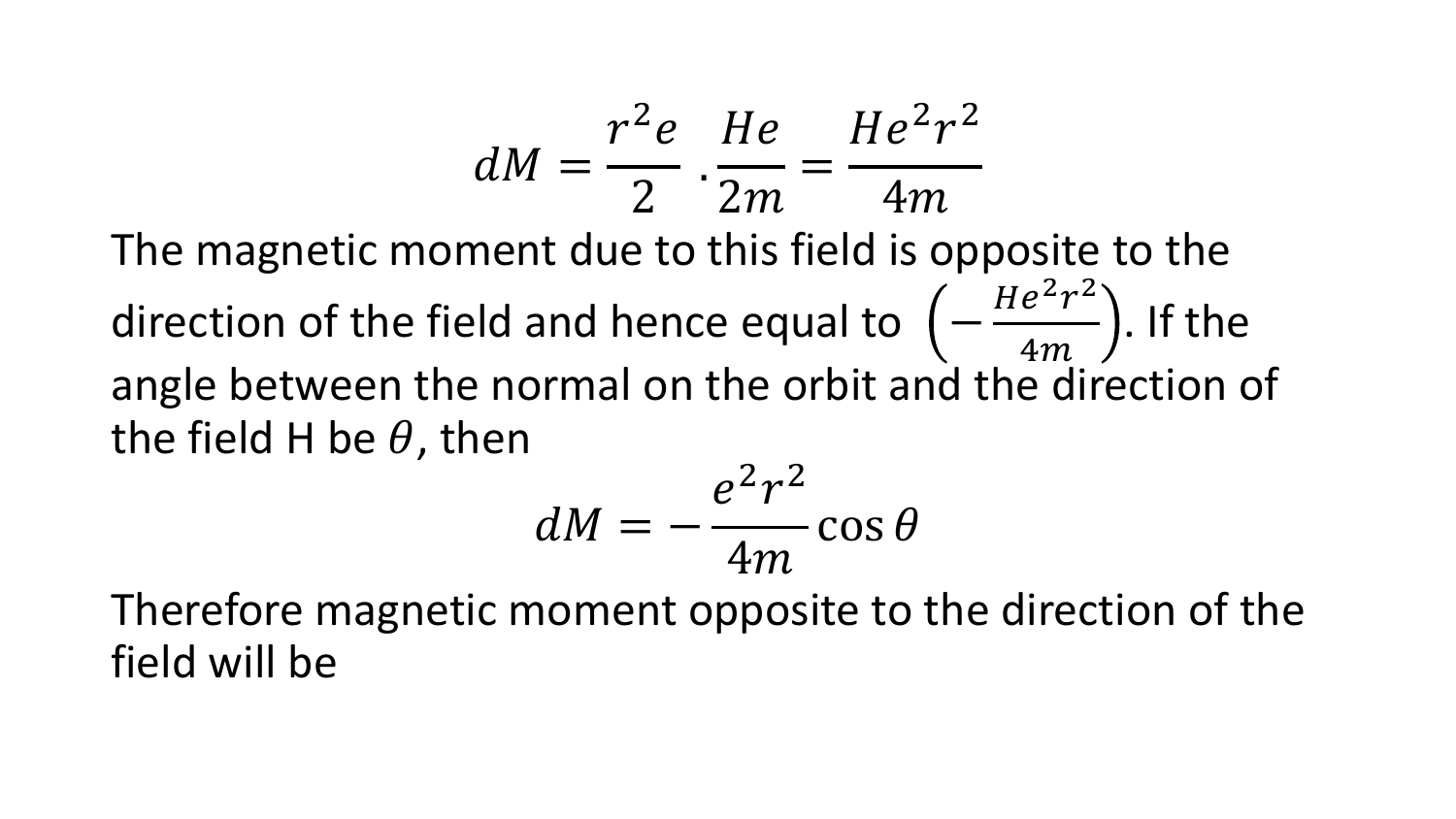$$
dM = \frac{r^2 e}{2} \cdot \frac{He}{2m} = \frac{He^2 r^2}{4m}
$$

The magnetic moment due to this field is opposite to the direction of the field and hence equal to  $(-1)^{n}$  $He<sup>2</sup>r<sup>2</sup>$  $4m$ . If the angle between the normal on the orbit and the direction of the field H be  $\theta$ , then

$$
dM = -\frac{e^2r^2}{4m}\cos\theta
$$

Therefore magnetic moment opposite to the direction of the field will be